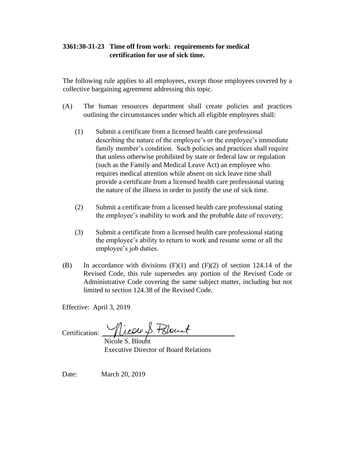## **3361:30-31-23 Time off from work: requirements for medical certification for use of sick time.**

The following rule applies to all employees, except those employees covered by a collective bargaining agreement addressing this topic.

- (A) The human resources department shall create policies and practices outlining the circumstances under which all eligible employees shall:
	- (1) Submit a certificate from a licensed health care professional describing the nature of the employee's or the employee's immediate family member's condition. Such policies and practices shall require that unless otherwise prohibited by state or federal law or regulation (such as the Family and Medical Leave Act) an employee who requires medical attention while absent on sick leave time shall provide a certificate from a licensed health care professional stating the nature of the illness in order to justify the use of sick time.
	- (2) Submit a certificate from a licensed health care professional stating the employee's inability to work and the probable date of recovery;
	- (3) Submit a certificate from a licensed health care professional stating the employee's ability to return to work and resume some or all the employee's job duties.
- (B) In accordance with divisions  $(F)(1)$  and  $(F)(2)$  of section 124.14 of the Revised Code, this rule supersedes any portion of the Revised Code or Administrative Code covering the same subject matter, including but not limited to section 124.38 of the Revised Code.

Effective: April 3, 2019

Certification:  $\frac{1}{\sqrt{2\pi}}\sqrt{2\pi\sqrt{2}}$ 

 Nicole S. Blount Executive Director of Board Relations

Date: March 20, 2019